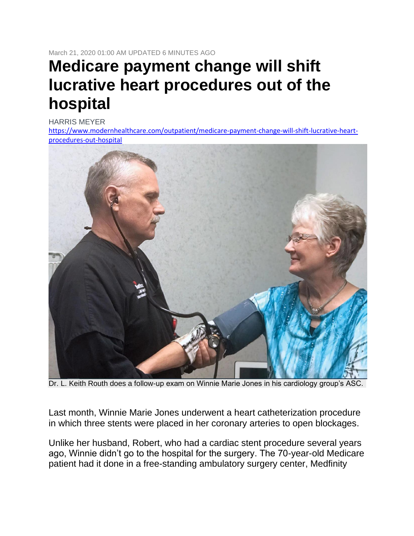March 21, 2020 01:00 AM UPDATED 6 MINUTES AGO

# **Medicare payment change will shift lucrative heart procedures out of the hospital**

[HARRIS MEYER](https://nam03.safelinks.protection.outlook.com/?url=https%3A%2F%2Fwww.modernhealthcare.com%2Fstaff%2Fharris-meyer&data=02%7C01%7CLeeAnne.Ward%40heartplace.com%7C8d4c7ebfb8fc4fc450c608d7cdf06a42%7C4d8e0808d5d845b4906c2bc2d3c4f2ac%7C0%7C0%7C637204304777932625&sdata=T8iRcblVFu%2BFfG6BhT%2B%2FAf3MfGUyGFbbdl7THLXBasE%3D&reserved=0)

[https://www.modernhealthcare.com/outpatient/medicare-payment-change-will-shift-lucrative-heart](https://nam03.safelinks.protection.outlook.com/?url=https%3A%2F%2Fwww.modernhealthcare.com%2Foutpatient%2Fmedicare-payment-change-will-shift-lucrative-heart-procedures-out-hospital&data=02%7C01%7CLeeAnne.Ward%40heartplace.com%7C8d4c7ebfb8fc4fc450c608d7cdf06a42%7C4d8e0808d5d845b4906c2bc2d3c4f2ac%7C0%7C0%7C637204304777932625&sdata=9efiaTnXcImxWW83hPEIqcS9ueHGMTGl0%2F9yUWczCxk%3D&reserved=0)[procedures-out-hospital](https://nam03.safelinks.protection.outlook.com/?url=https%3A%2F%2Fwww.modernhealthcare.com%2Foutpatient%2Fmedicare-payment-change-will-shift-lucrative-heart-procedures-out-hospital&data=02%7C01%7CLeeAnne.Ward%40heartplace.com%7C8d4c7ebfb8fc4fc450c608d7cdf06a42%7C4d8e0808d5d845b4906c2bc2d3c4f2ac%7C0%7C0%7C637204304777932625&sdata=9efiaTnXcImxWW83hPEIqcS9ueHGMTGl0%2F9yUWczCxk%3D&reserved=0)



Dr. L. Keith Routh does a follow-up exam on Winnie Marie Jones in his cardiology group's ASC.

Last month, Winnie Marie Jones underwent a heart catheterization procedure in which three stents were placed in her coronary arteries to open blockages.

Unlike her husband, Robert, who had a cardiac stent procedure several years ago, Winnie didn't go to the hospital for the surgery. The 70-year-old Medicare patient had it done in a free-standing ambulatory surgery center, Medfinity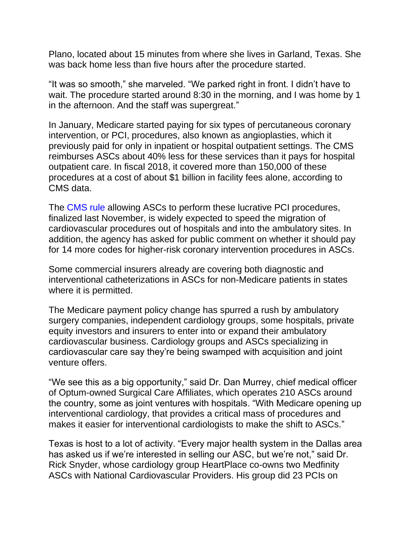Plano, located about 15 minutes from where she lives in Garland, Texas. She was back home less than five hours after the procedure started.

"It was so smooth," she marveled. "We parked right in front. I didn't have to wait. The procedure started around 8:30 in the morning, and I was home by 1 in the afternoon. And the staff was supergreat."

In January, Medicare started paying for six types of percutaneous coronary intervention, or PCI, procedures, also known as angioplasties, which it previously paid for only in inpatient or hospital outpatient settings. The CMS reimburses ASCs about 40% less for these services than it pays for hospital outpatient care. In fiscal 2018, it covered more than 150,000 of these procedures at a cost of about \$1 billion in facility fees alone, according to CMS data.

The [CMS rule](https://nam03.safelinks.protection.outlook.com/?url=https%3A%2F%2Fwww.federalregister.gov%2Fdocuments%2F2019%2F11%2F12%2F2019-24138%2Fmedicare-program-changes-to-hospital-outpatient-prospective-payment-and-ambulatory-surgical-center&data=02%7C01%7CLeeAnne.Ward%40heartplace.com%7C8d4c7ebfb8fc4fc450c608d7cdf06a42%7C4d8e0808d5d845b4906c2bc2d3c4f2ac%7C0%7C0%7C637204304777962607&sdata=I1GtqOaNb0vgM3r6v8ZkV25e1rS7qyWeDH0DkWg3ViI%3D&reserved=0) allowing ASCs to perform these lucrative PCI procedures, finalized last November, is widely expected to speed the migration of cardiovascular procedures out of hospitals and into the ambulatory sites. In addition, the agency has asked for public comment on whether it should pay for 14 more codes for higher-risk coronary intervention procedures in ASCs.

Some commercial insurers already are covering both diagnostic and interventional catheterizations in ASCs for non-Medicare patients in states where it is permitted.

The Medicare payment policy change has spurred a rush by ambulatory surgery companies, independent cardiology groups, some hospitals, private equity investors and insurers to enter into or expand their ambulatory cardiovascular business. Cardiology groups and ASCs specializing in cardiovascular care say they're being swamped with acquisition and joint venture offers.

"We see this as a big opportunity," said Dr. Dan Murrey, chief medical officer of Optum-owned Surgical Care Affiliates, which operates 210 ASCs around the country, some as joint ventures with hospitals. "With Medicare opening up interventional cardiology, that provides a critical mass of procedures and makes it easier for interventional cardiologists to make the shift to ASCs."

Texas is host to a lot of activity. "Every major health system in the Dallas area has asked us if we're interested in selling our ASC, but we're not," said Dr. Rick Snyder, whose cardiology group HeartPlace co-owns two Medfinity ASCs with National Cardiovascular Providers. His group did 23 PCIs on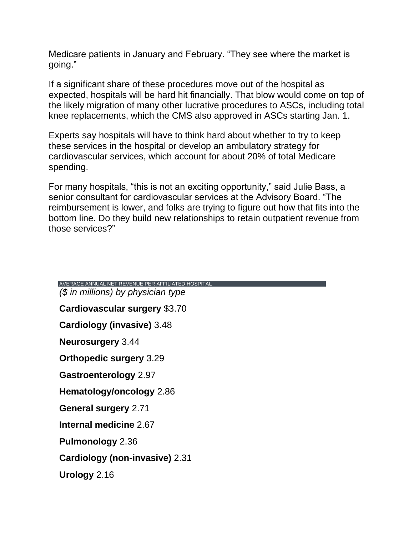Medicare patients in January and February. "They see where the market is going."

If a significant share of these procedures move out of the hospital as expected, hospitals will be hard hit financially. That blow would come on top of the likely migration of many other lucrative procedures to ASCs, including total knee replacements, which the CMS also approved in ASCs starting Jan. 1.

Experts say hospitals will have to think hard about whether to try to keep these services in the hospital or develop an ambulatory strategy for cardiovascular services, which account for about 20% of total Medicare spending.

For many hospitals, "this is not an exciting opportunity," said Julie Bass, a senior consultant for cardiovascular services at the Advisory Board. "The reimbursement is lower, and folks are trying to figure out how that fits into the bottom line. Do they build new relationships to retain outpatient revenue from those services?"

| AVERAGE ANNUAL NET REVENUE PER AFFILIATED HOSPITAL |
|----------------------------------------------------|
| (\$ in millions) by physician type                 |
| <b>Cardiovascular surgery \$3.70</b>               |
| Cardiology (invasive) 3.48                         |
| <b>Neurosurgery 3.44</b>                           |
| <b>Orthopedic surgery 3.29</b>                     |
| <b>Gastroenterology 2.97</b>                       |
| Hematology/oncology 2.86                           |
| <b>General surgery 2.71</b>                        |
| Internal medicine 2.67                             |
| <b>Pulmonology</b> 2.36                            |
| Cardiology (non-invasive) 2.31                     |
| Urology 2.16                                       |
|                                                    |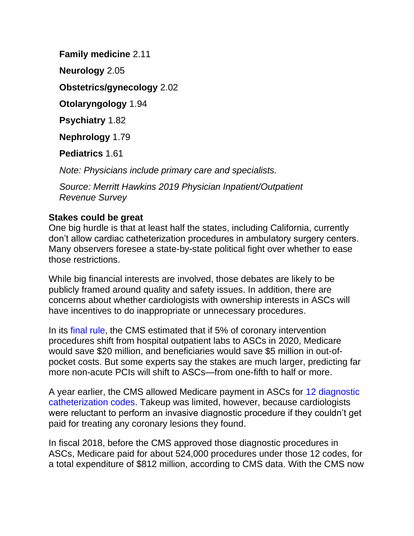**Family medicine** 2.11 **Neurology** 2.05 **Obstetrics/gynecology** 2.02 **Otolaryngology** 1.94 **Psychiatry** 1.82 **Nephrology** 1.79

**Pediatrics** 1.61

*Note: Physicians include primary care and specialists.*

*Source: Merritt Hawkins 2019 Physician Inpatient/Outpatient Revenue Survey*

### **Stakes could be great**

One big hurdle is that at least half the states, including California, currently don't allow cardiac catheterization procedures in ambulatory surgery centers. Many observers foresee a state-by-state political fight over whether to ease those restrictions.

While big financial interests are involved, those debates are likely to be publicly framed around quality and safety issues. In addition, there are concerns about whether cardiologists with ownership interests in ASCs will have incentives to do inappropriate or unnecessary procedures.

In its [final rule,](https://nam03.safelinks.protection.outlook.com/?url=https%3A%2F%2Fwww.federalregister.gov%2Fdocuments%2F2019%2F11%2F12%2F2019-24138%2Fmedicare-program-changes-to-hospital-outpatient-prospective-payment-and-ambulatory-surgical-center&data=02%7C01%7CLeeAnne.Ward%40heartplace.com%7C8d4c7ebfb8fc4fc450c608d7cdf06a42%7C4d8e0808d5d845b4906c2bc2d3c4f2ac%7C0%7C0%7C637204304777972595&sdata=Hvo%2FEgQyKxahqKL5dUEkghDvr0JTsOPX70i03LFpoqs%3D&reserved=0) the CMS estimated that if 5% of coronary intervention procedures shift from hospital outpatient labs to ASCs in 2020, Medicare would save \$20 million, and beneficiaries would save \$5 million in out-ofpocket costs. But some experts say the stakes are much larger, predicting far more non-acute PCIs will shift to ASCs—from one-fifth to half or more.

A year earlier, the CMS allowed Medicare payment in ASCs for [12 diagnostic](https://nam03.safelinks.protection.outlook.com/?url=https%3A%2F%2Fwww.cms.gov%2FOutreach-and-Education%2FMedicare-Learning-Network-MLN%2FMLNMattersArticles%2Fdownloads%2FMM11108.pdf&data=02%7C01%7CLeeAnne.Ward%40heartplace.com%7C8d4c7ebfb8fc4fc450c608d7cdf06a42%7C4d8e0808d5d845b4906c2bc2d3c4f2ac%7C0%7C0%7C637204304777972595&sdata=GwfCSSVBWngqtNu49GZ%2Bp4F68Me%2FW9%2B%2FE7jdAsjlJPk%3D&reserved=0)  [catheterization codes.](https://nam03.safelinks.protection.outlook.com/?url=https%3A%2F%2Fwww.cms.gov%2FOutreach-and-Education%2FMedicare-Learning-Network-MLN%2FMLNMattersArticles%2Fdownloads%2FMM11108.pdf&data=02%7C01%7CLeeAnne.Ward%40heartplace.com%7C8d4c7ebfb8fc4fc450c608d7cdf06a42%7C4d8e0808d5d845b4906c2bc2d3c4f2ac%7C0%7C0%7C637204304777972595&sdata=GwfCSSVBWngqtNu49GZ%2Bp4F68Me%2FW9%2B%2FE7jdAsjlJPk%3D&reserved=0) Takeup was limited, however, because cardiologists were reluctant to perform an invasive diagnostic procedure if they couldn't get paid for treating any coronary lesions they found.

In fiscal 2018, before the CMS approved those diagnostic procedures in ASCs, Medicare paid for about 524,000 procedures under those 12 codes, for a total expenditure of \$812 million, according to CMS data. With the CMS now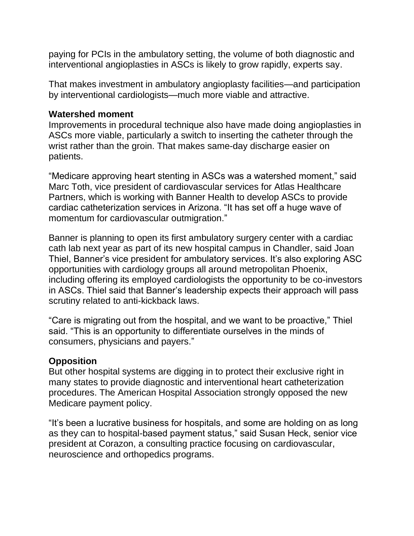paying for PCIs in the ambulatory setting, the volume of both diagnostic and interventional angioplasties in ASCs is likely to grow rapidly, experts say.

That makes investment in ambulatory angioplasty facilities—and participation by interventional cardiologists—much more viable and attractive.

### **Watershed moment**

Improvements in procedural technique also have made doing angioplasties in ASCs more viable, particularly a switch to inserting the catheter through the wrist rather than the groin. That makes same-day discharge easier on patients.

"Medicare approving heart stenting in ASCs was a watershed moment," said Marc Toth, vice president of cardiovascular services for Atlas Healthcare Partners, which is working with Banner Health to develop ASCs to provide cardiac catheterization services in Arizona. "It has set off a huge wave of momentum for cardiovascular outmigration."

Banner is planning to open its first ambulatory surgery center with a cardiac cath lab next year as part of its new hospital campus in Chandler, said Joan Thiel, Banner's vice president for ambulatory services. It's also exploring ASC opportunities with cardiology groups all around metropolitan Phoenix, including offering its employed cardiologists the opportunity to be co-investors in ASCs. Thiel said that Banner's leadership expects their approach will pass scrutiny related to anti-kickback laws.

"Care is migrating out from the hospital, and we want to be proactive," Thiel said. "This is an opportunity to differentiate ourselves in the minds of consumers, physicians and payers."

## **Opposition**

But other hospital systems are digging in to protect their exclusive right in many states to provide diagnostic and interventional heart catheterization procedures. The American Hospital Association strongly opposed the new Medicare payment policy.

"It's been a lucrative business for hospitals, and some are holding on as long as they can to hospital-based payment status," said Susan Heck, senior vice president at Corazon, a consulting practice focusing on cardiovascular, neuroscience and orthopedics programs.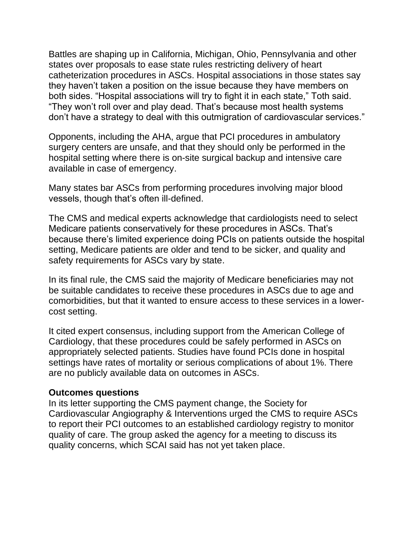Battles are shaping up in California, Michigan, Ohio, Pennsylvania and other states over proposals to ease state rules restricting delivery of heart catheterization procedures in ASCs. Hospital associations in those states say they haven't taken a position on the issue because they have members on both sides. "Hospital associations will try to fight it in each state," Toth said. "They won't roll over and play dead. That's because most health systems don't have a strategy to deal with this outmigration of cardiovascular services."

Opponents, including the AHA, argue that PCI procedures in ambulatory surgery centers are unsafe, and that they should only be performed in the hospital setting where there is on-site surgical backup and intensive care available in case of emergency.

Many states bar ASCs from performing procedures involving major blood vessels, though that's often ill-defined.

The CMS and medical experts acknowledge that cardiologists need to select Medicare patients conservatively for these procedures in ASCs. That's because there's limited experience doing PCIs on patients outside the hospital setting, Medicare patients are older and tend to be sicker, and quality and safety requirements for ASCs vary by state.

In its final rule, the CMS said the majority of Medicare beneficiaries may not be suitable candidates to receive these procedures in ASCs due to age and comorbidities, but that it wanted to ensure access to these services in a lowercost setting.

It cited expert consensus, including support from the American College of Cardiology, that these procedures could be safely performed in ASCs on appropriately selected patients. Studies have found PCIs done in hospital settings have rates of mortality or serious complications of about 1%. There are no publicly available data on outcomes in ASCs.

#### **Outcomes questions**

In its letter supporting the CMS payment change, the Society for Cardiovascular Angiography & Interventions urged the CMS to require ASCs to report their PCI outcomes to an established cardiology registry to monitor quality of care. The group asked the agency for a meeting to discuss its quality concerns, which SCAI said has not yet taken place.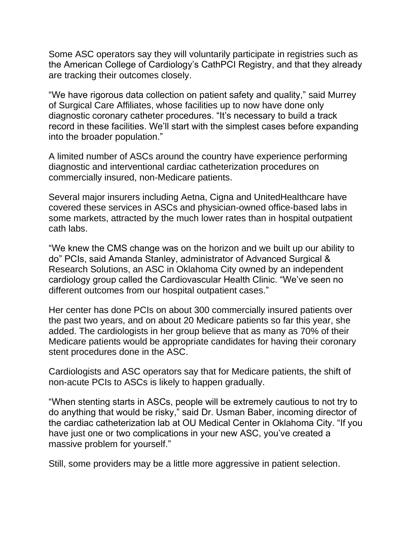Some ASC operators say they will voluntarily participate in registries such as the American College of Cardiology's CathPCI Registry, and that they already are tracking their outcomes closely.

"We have rigorous data collection on patient safety and quality," said Murrey of Surgical Care Affiliates, whose facilities up to now have done only diagnostic coronary catheter procedures. "It's necessary to build a track record in these facilities. We'll start with the simplest cases before expanding into the broader population."

A limited number of ASCs around the country have experience performing diagnostic and interventional cardiac catheterization procedures on commercially insured, non-Medicare patients.

Several major insurers including Aetna, Cigna and UnitedHealthcare have covered these services in ASCs and physician-owned office-based labs in some markets, attracted by the much lower rates than in hospital outpatient cath labs.

"We knew the CMS change was on the horizon and we built up our ability to do" PCIs, said Amanda Stanley, administrator of Advanced Surgical & Research Solutions, an ASC in Oklahoma City owned by an independent cardiology group called the Cardiovascular Health Clinic. "We've seen no different outcomes from our hospital outpatient cases."

Her center has done PCIs on about 300 commercially insured patients over the past two years, and on about 20 Medicare patients so far this year, she added. The cardiologists in her group believe that as many as 70% of their Medicare patients would be appropriate candidates for having their coronary stent procedures done in the ASC.

Cardiologists and ASC operators say that for Medicare patients, the shift of non-acute PCIs to ASCs is likely to happen gradually.

"When stenting starts in ASCs, people will be extremely cautious to not try to do anything that would be risky," said Dr. Usman Baber, incoming director of the cardiac catheterization lab at OU Medical Center in Oklahoma City. "If you have just one or two complications in your new ASC, you've created a massive problem for yourself."

Still, some providers may be a little more aggressive in patient selection.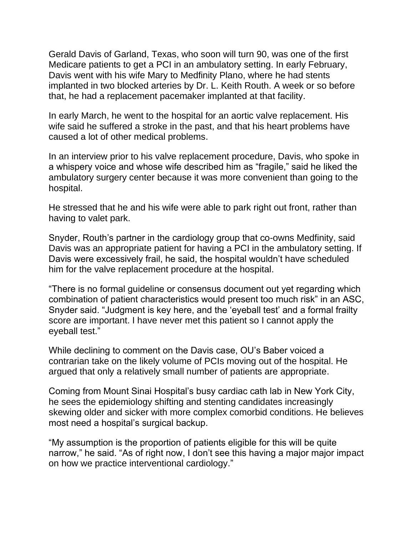Gerald Davis of Garland, Texas, who soon will turn 90, was one of the first Medicare patients to get a PCI in an ambulatory setting. In early February, Davis went with his wife Mary to Medfinity Plano, where he had stents implanted in two blocked arteries by Dr. L. Keith Routh. A week or so before that, he had a replacement pacemaker implanted at that facility.

In early March, he went to the hospital for an aortic valve replacement. His wife said he suffered a stroke in the past, and that his heart problems have caused a lot of other medical problems.

In an interview prior to his valve replacement procedure, Davis, who spoke in a whispery voice and whose wife described him as "fragile," said he liked the ambulatory surgery center because it was more convenient than going to the hospital.

He stressed that he and his wife were able to park right out front, rather than having to valet park.

Snyder, Routh's partner in the cardiology group that co-owns Medfinity, said Davis was an appropriate patient for having a PCI in the ambulatory setting. If Davis were excessively frail, he said, the hospital wouldn't have scheduled him for the valve replacement procedure at the hospital.

"There is no formal guideline or consensus document out yet regarding which combination of patient characteristics would present too much risk" in an ASC, Snyder said. "Judgment is key here, and the 'eyeball test' and a formal frailty score are important. I have never met this patient so I cannot apply the eyeball test."

While declining to comment on the Davis case, OU's Baber voiced a contrarian take on the likely volume of PCIs moving out of the hospital. He argued that only a relatively small number of patients are appropriate.

Coming from Mount Sinai Hospital's busy cardiac cath lab in New York City, he sees the epidemiology shifting and stenting candidates increasingly skewing older and sicker with more complex comorbid conditions. He believes most need a hospital's surgical backup.

"My assumption is the proportion of patients eligible for this will be quite narrow," he said. "As of right now, I don't see this having a major major impact on how we practice interventional cardiology."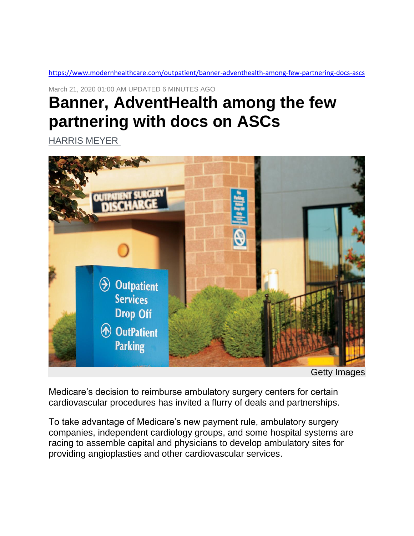[https://www.modernhealthcare.com/outpatient/banner-adventhealth-among-few-partnering-docs-ascs](https://nam03.safelinks.protection.outlook.com/?url=https%3A%2F%2Fwww.modernhealthcare.com%2Foutpatient%2Fbanner-adventhealth-among-few-partnering-docs-ascs&data=02%7C01%7CLeeAnne.Ward%40heartplace.com%7C8d4c7ebfb8fc4fc450c608d7cdf06a42%7C4d8e0808d5d845b4906c2bc2d3c4f2ac%7C0%7C0%7C637204304777982594&sdata=mNcUTXGm%2BcMT5hA3%2FyjS1U1nNi9kz6aDe2ph2rhEdv4%3D&reserved=0)

March 21, 2020 01:00 AM UPDATED 6 MINUTES AGO

# **Banner, AdventHealth among the few partnering with docs on ASCs**

[HARRIS MEYER](https://nam03.safelinks.protection.outlook.com/?url=https%3A%2F%2Fwww.modernhealthcare.com%2Fstaff%2Fharris-meyer&data=02%7C01%7CLeeAnne.Ward%40heartplace.com%7C8d4c7ebfb8fc4fc450c608d7cdf06a42%7C4d8e0808d5d845b4906c2bc2d3c4f2ac%7C0%7C0%7C637204304777982594&sdata=GPiR1Tgu1a%2FhISaimaHrWzinzqDd9%2BncY4%2FByXRiEk4%3D&reserved=0)



Getty Images

Medicare's decision to reimburse ambulatory surgery centers for certain cardiovascular procedures has invited a flurry of deals and partnerships.

To take advantage of Medicare's new payment rule, ambulatory surgery companies, independent cardiology groups, and some hospital systems are racing to assemble capital and physicians to develop ambulatory sites for providing angioplasties and other cardiovascular services.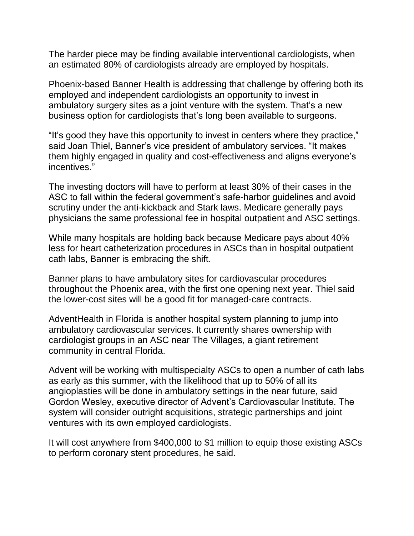The harder piece may be finding available interventional cardiologists, when an estimated 80% of cardiologists already are employed by hospitals.

Phoenix-based Banner Health is addressing that challenge by offering both its employed and independent cardiologists an opportunity to invest in ambulatory surgery sites as a joint venture with the system. That's a new business option for cardiologists that's long been available to surgeons.

"It's good they have this opportunity to invest in centers where they practice," said Joan Thiel, Banner's vice president of ambulatory services. "It makes them highly engaged in quality and cost-effectiveness and aligns everyone's incentives."

The investing doctors will have to perform at least 30% of their cases in the ASC to fall within the federal government's safe-harbor guidelines and avoid scrutiny under the anti-kickback and Stark laws. Medicare generally pays physicians the same professional fee in hospital outpatient and ASC settings.

While many hospitals are holding back because Medicare pays about 40% less for heart catheterization procedures in ASCs than in hospital outpatient cath labs, Banner is embracing the shift.

Banner plans to have ambulatory sites for cardiovascular procedures throughout the Phoenix area, with the first one opening next year. Thiel said the lower-cost sites will be a good fit for managed-care contracts.

AdventHealth in Florida is another hospital system planning to jump into ambulatory cardiovascular services. It currently shares ownership with cardiologist groups in an ASC near The Villages, a giant retirement community in central Florida.

Advent will be working with multispecialty ASCs to open a number of cath labs as early as this summer, with the likelihood that up to 50% of all its angioplasties will be done in ambulatory settings in the near future, said Gordon Wesley, executive director of Advent's Cardiovascular Institute. The system will consider outright acquisitions, strategic partnerships and joint ventures with its own employed cardiologists.

It will cost anywhere from \$400,000 to \$1 million to equip those existing ASCs to perform coronary stent procedures, he said.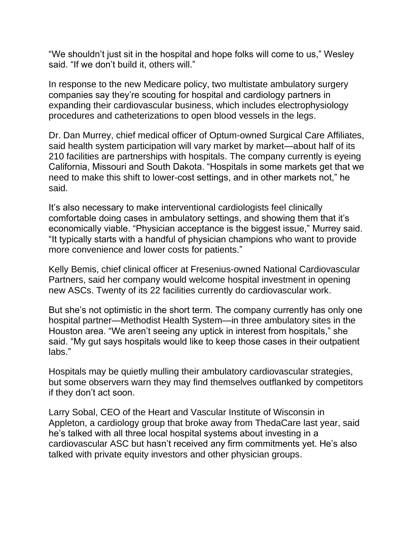"We shouldn't just sit in the hospital and hope folks will come to us," Wesley said. "If we don't build it, others will."

In response to the new Medicare policy, two multistate ambulatory surgery companies say they're scouting for hospital and cardiology partners in expanding their cardiovascular business, which includes electrophysiology procedures and catheterizations to open blood vessels in the legs.

Dr. Dan Murrey, chief medical officer of Optum-owned Surgical Care Affiliates, said health system participation will vary market by market—about half of its 210 facilities are partnerships with hospitals. The company currently is eyeing California, Missouri and South Dakota. "Hospitals in some markets get that we need to make this shift to lower-cost settings, and in other markets not," he said.

It's also necessary to make interventional cardiologists feel clinically comfortable doing cases in ambulatory settings, and showing them that it's economically viable. "Physician acceptance is the biggest issue," Murrey said. "It typically starts with a handful of physician champions who want to provide more convenience and lower costs for patients."

Kelly Bemis, chief clinical officer at Fresenius-owned National Cardiovascular Partners, said her company would welcome hospital investment in opening new ASCs. Twenty of its 22 facilities currently do cardiovascular work.

But she's not optimistic in the short term. The company currently has only one hospital partner—Methodist Health System—in three ambulatory sites in the Houston area. "We aren't seeing any uptick in interest from hospitals," she said. "My gut says hospitals would like to keep those cases in their outpatient labs."

Hospitals may be quietly mulling their ambulatory cardiovascular strategies, but some observers warn they may find themselves outflanked by competitors if they don't act soon.

Larry Sobal, CEO of the Heart and Vascular Institute of Wisconsin in Appleton, a cardiology group that broke away from ThedaCare last year, said he's talked with all three local hospital systems about investing in a cardiovascular ASC but hasn't received any firm commitments yet. He's also talked with private equity investors and other physician groups.